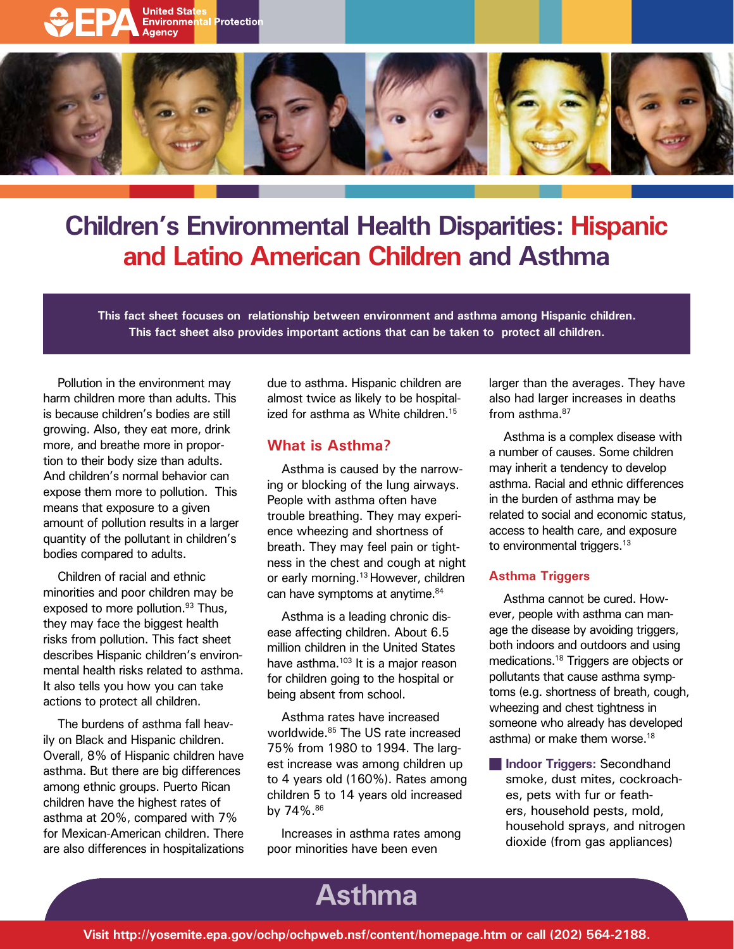



# **Children's Environmental Health Disparities: Hispanic and Latino American Children and Asthma**

**This fact sheet focuses on relationship between environment and asthma among Hispanic children. This fact sheet also provides important actions that can be taken to protect all children.** 

Pollution in the environment may harm children more than adults. This is because children's bodies are still growing. Also, they eat more, drink more, and breathe more in proportion to their body size than adults. And children's normal behavior can expose them more to pollution. This means that exposure to a given amount of pollution results in a larger quantity of the pollutant in children's bodies compared to adults.

Children of racial and ethnic minorities and poor children may be exposed to more pollution.<sup>93</sup> Thus, they may face the biggest health risks from pollution. This fact sheet describes Hispanic children's environmental health risks related to asthma. It also tells you how you can take actions to protect all children.

The burdens of asthma fall heavily on Black and Hispanic children. Overall, 8% of Hispanic children have asthma. But there are big differences among ethnic groups. Puerto Rican children have the highest rates of asthma at 20%, compared with 7% for Mexican-American children. There are also differences in hospitalizations due to asthma. Hispanic children are almost twice as likely to be hospitalized for asthma as White children.<sup>15</sup>

## **What is Asthma?**

Asthma is caused by the narrowing or blocking of the lung airways. People with asthma often have trouble breathing. They may experience wheezing and shortness of breath. They may feel pain or tightness in the chest and cough at night or early morning.<sup>13</sup> However, children can have symptoms at anytime.<sup>84</sup>

Asthma is a leading chronic disease affecting children. About 6.5 million children in the United States have asthma.<sup>103</sup> It is a major reason for children going to the hospital or being absent from school.

Asthma rates have increased worldwide.<sup>85</sup> The US rate increased 75% from 1980 to 1994. The largest increase was among children up to 4 years old (160%). Rates among children 5 to 14 years old increased by 74%.86

Increases in asthma rates among poor minorities have been even

larger than the averages. They have also had larger increases in deaths from asthma.<sup>87</sup>

Asthma is a complex disease with a number of causes. Some children may inherit a tendency to develop asthma. Racial and ethnic differences in the burden of asthma may be related to social and economic status, access to health care, and exposure to environmental triggers.<sup>13</sup>

### **Asthma Triggers**

Asthma cannot be cured. However, people with asthma can manage the disease by avoiding triggers, both indoors and outdoors and using medications.18 Triggers are objects or pollutants that cause asthma symptoms (e.g. shortness of breath, cough, wheezing and chest tightness in someone who already has developed asthma) or make them worse.<sup>18</sup>

**n** Indoor Triggers: Secondhand smoke, dust mites, cockroaches, pets with fur or feathers, household pests, mold, household sprays, and nitrogen dioxide (from gas appliances)

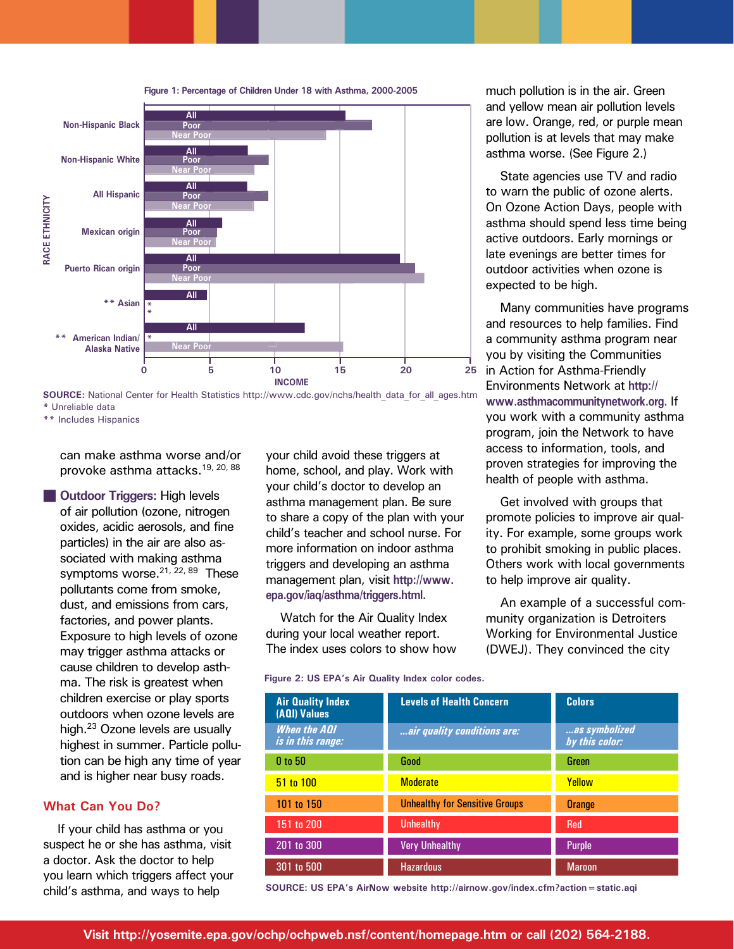



**\*\*** Includes Hispanics

can make asthma worse and/or provoke asthma attacks.19, 20, 88

**n** Outdoor Triggers: High levels of air pollution (ozone, nitrogen oxides, acidic aerosols, and fine particles) in the air are also associated with making asthma symptoms worse.<sup>21, 22, 89</sup> These pollutants come from smoke, dust, and emissions from cars, factories, and power plants. Exposure to high levels of ozone may trigger asthma attacks or cause children to develop asthma. The risk is greatest when children exercise or play sports outdoors when ozone levels are high.<sup>23</sup> Ozone levels are usually highest in summer. Particle pollution can be high any time of year and is higher near busy roads.

#### **What Can You Do?**

If your child has asthma or you suspect he or she has asthma, visit a doctor. Ask the doctor to help you learn which triggers affect your

your child avoid these triggers at home, school, and play. Work with your child's doctor to develop an asthma management plan. Be sure to share a copy of the plan with your child's teacher and school nurse. For more information on indoor asthma triggers and developing an asthma management plan, visit **http://www. epa.gov/iaq/asthma/triggers.html.** 

Watch for the Air Quality Index during your local weather report. The index uses colors to show how

**Figure 2: US EPA's Air Quality Index color codes.** 

much pollution is in the air. Green and yellow mean air pollution levels are low. Orange, red, or purple mean pollution is at levels that may make asthma worse. (See Figure 2.)

State agencies use TV and radio to warn the public of ozone alerts. On Ozone Action Days, people with asthma should spend less time being active outdoors. Early mornings or late evenings are better times for outdoor activities when ozone is expected to be high.

Many communities have programs and resources to help families. Find a community asthma program near you by visiting the Communities in Action for Asthma-Friendly Environments Network at **[http://](http://www.asthmacommunitynetwork.org)  [www.asthmacommunitynetwork.org.](http://www.asthmacommunitynetwork.org)** If you work with a community asthma program, join the Network to have access to information, tools, and proven strategies for improving the health of people with asthma.

Get involved with groups that promote policies to improve air quality. For example, some groups work to prohibit smoking in public places. Others work with local governments to help improve air quality.

An example of a successful community organization is Detroiters Working for Environmental Justice (DWEJ). They convinced the city

| <b>Air Quality Index</b><br>(AQI) Values        | <b>Levels of Health Concern</b>       | <b>Colors</b>                   |
|-------------------------------------------------|---------------------------------------|---------------------------------|
| <b>When the AQI</b><br><i>is in this range:</i> | air quality conditions are:           | as symbolized<br>by this color: |
| $0$ to $50$                                     | Good                                  | Green                           |
| 51 to 100                                       | <b>Moderate</b>                       | Yellow                          |
| 101 to 150                                      | <b>Unhealthy for Sensitive Groups</b> | Orange                          |
| 151 to 200                                      | <b>Unhealthy</b>                      | <b>Red</b>                      |
| 201 to 300                                      | <b>Very Unhealthy</b>                 | <b>Purple</b>                   |
| 301 to 500                                      | <b>Hazardous</b>                      | <b>Maroon</b>                   |

child's asthma, and ways to help **SOURCE: US EPA's AirNow website http://airnow.gov/index.cfm?action=static.aqi**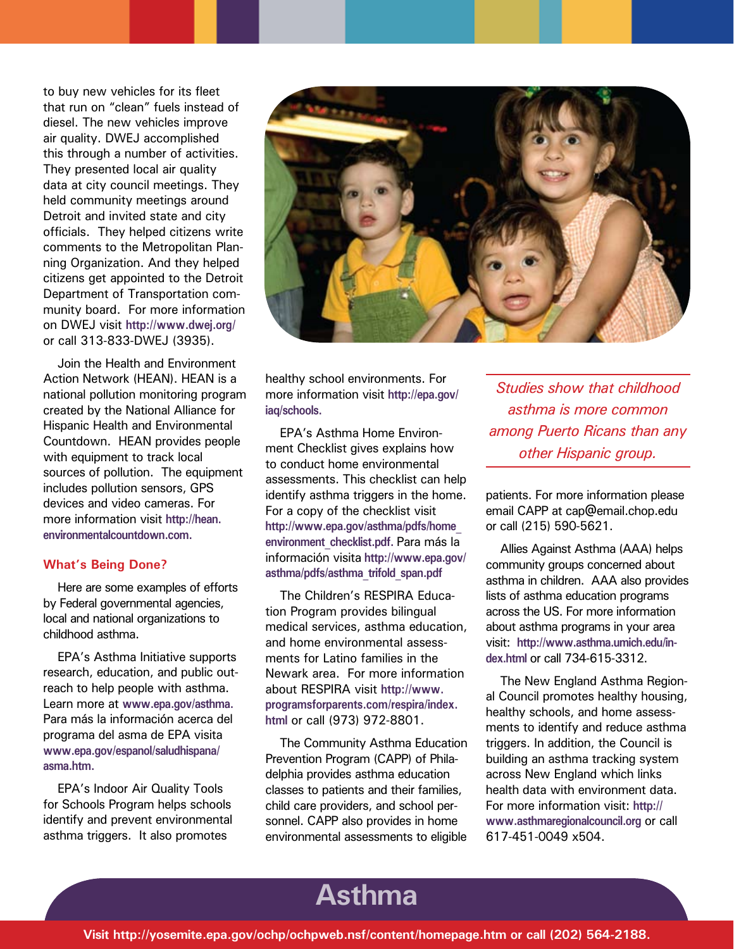to buy new vehicles for its fleet that run on "clean" fuels instead of diesel. The new vehicles improve air quality. DWEJ accomplished this through a number of activities. They presented local air quality data at city council meetings. They held community meetings around Detroit and invited state and city officials. They helped citizens write comments to the Metropolitan Planning Organization. And they helped citizens get appointed to the Detroit Department of Transportation community board. For more information on DWEJ visit **http://www.dwej.org/**  or call 313-833-DWEJ (3935).

Join the Health and Environment Action Network (HEAN). HEAN is a national pollution monitoring program created by the National Alliance for Hispanic Health and Environmental Countdown. HEAN provides people with equipment to track local sources of pollution. The equipment includes pollution sensors, GPS devices and video cameras. For more information visit **http://hean. environmentalcountdown.com.** 

#### **What's Being Done?**

Here are some examples of efforts by Federal governmental agencies, local and national organizations to childhood asthma.

EPA's Asthma Initiative supports research, education, and public outreach to help people with asthma. Learn more at **[www.epa.gov/asthma.](http://www.epa.gov/asthma)**  Para más la información acerca del programa del asma de EPA visita **[www.epa.gov/espanol/saludhispana/](http://www.epa.gov/espanol/saludhispana)  asma.htm.** 

EPA's Indoor Air Quality Tools for Schools Program helps schools identify and prevent environmental asthma triggers. It also promotes



healthy school environments. For more information visit **http://epa.gov/ iaq/schools.** 

EPA's Asthma Home Environment Checklist gives explains how to conduct home environmental assessments. This checklist can help identify asthma triggers in the home. For a copy of the checklist visit **http://www.epa.gov/asthma/pdfs/home\_ environment\_checklist.pdf.** Para más la información visita **http://www.epa.gov/ asthma/pdfs/asthma\_trifold\_span.pdf** 

The Children's RESPIRA Education Program provides bilingual medical services, asthma education, and home environmental assessments for Latino families in the Newark area. For more information about RESPIRA visit **http://www. programsforparents.com/respira/index. html** or call (973) 972-8801.

The Community Asthma Education Prevention Program (CAPP) of Philadelphia provides asthma education classes to patients and their families, child care providers, and school personnel. CAPP also provides in home environmental assessments to eligible

*Studies show that childhood asthma is more common among Puerto Ricans than any other Hispanic group.* 

patients. For more information please email CAPP at cap@email.chop.edu or call (215) 590-5621.

Allies Against Asthma (AAA) helps community groups concerned about asthma in children. AAA also provides lists of asthma education programs across the US. For more information about asthma programs in your area visit: **http://www.asthma.umich.edu/index.html** or call 734-615-3312.

The New England Asthma Regional Council promotes healthy housing, healthy schools, and home assessments to identify and reduce asthma triggers. In addition, the Council is building an asthma tracking system across New England which links health data with environment data. For more information visit: **[http://](http://www.asthmaregionalcouncil.org)  [www.asthmaregionalcouncil.org](http://www.asthmaregionalcouncil.org)** or call 617-451-0049 x504.

# **Periodical Asthma**